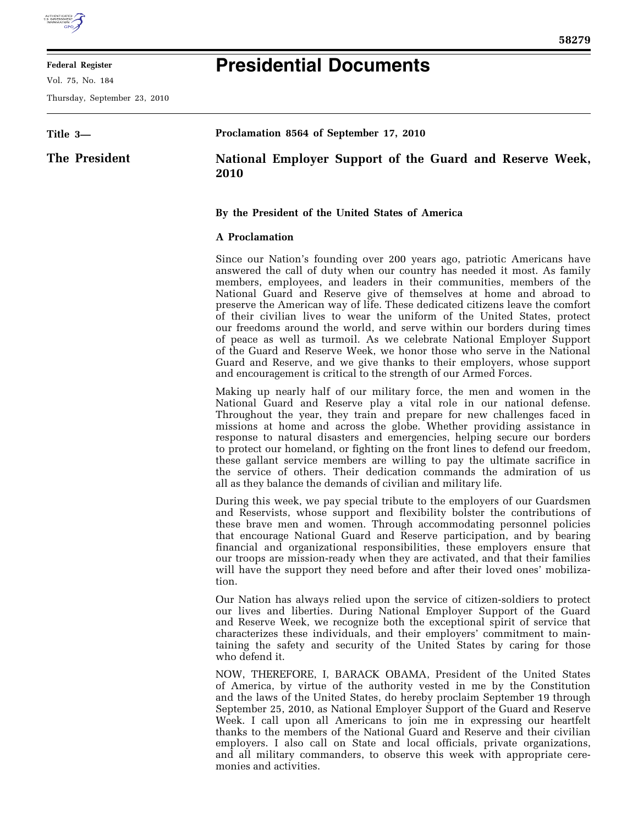

Vol. 75, No. 184

Thursday, September 23, 2010

## **Presidential Documents**

| Title 3—      | Proclamation 8564 of September 17, 2010                          |
|---------------|------------------------------------------------------------------|
| The President | National Employer Support of the Guard and Reserve Week,<br>2010 |

## **By the President of the United States of America**

## **A Proclamation**

Since our Nation's founding over 200 years ago, patriotic Americans have answered the call of duty when our country has needed it most. As family members, employees, and leaders in their communities, members of the National Guard and Reserve give of themselves at home and abroad to preserve the American way of life. These dedicated citizens leave the comfort of their civilian lives to wear the uniform of the United States, protect our freedoms around the world, and serve within our borders during times of peace as well as turmoil. As we celebrate National Employer Support of the Guard and Reserve Week, we honor those who serve in the National Guard and Reserve, and we give thanks to their employers, whose support and encouragement is critical to the strength of our Armed Forces.

Making up nearly half of our military force, the men and women in the National Guard and Reserve play a vital role in our national defense. Throughout the year, they train and prepare for new challenges faced in missions at home and across the globe. Whether providing assistance in response to natural disasters and emergencies, helping secure our borders to protect our homeland, or fighting on the front lines to defend our freedom, these gallant service members are willing to pay the ultimate sacrifice in the service of others. Their dedication commands the admiration of us all as they balance the demands of civilian and military life.

During this week, we pay special tribute to the employers of our Guardsmen and Reservists, whose support and flexibility bolster the contributions of these brave men and women. Through accommodating personnel policies that encourage National Guard and Reserve participation, and by bearing financial and organizational responsibilities, these employers ensure that our troops are mission-ready when they are activated, and that their families will have the support they need before and after their loved ones' mobilization.

Our Nation has always relied upon the service of citizen-soldiers to protect our lives and liberties. During National Employer Support of the Guard and Reserve Week, we recognize both the exceptional spirit of service that characterizes these individuals, and their employers' commitment to maintaining the safety and security of the United States by caring for those who defend it.

NOW, THEREFORE, I, BARACK OBAMA, President of the United States of America, by virtue of the authority vested in me by the Constitution and the laws of the United States, do hereby proclaim September 19 through September 25, 2010, as National Employer Support of the Guard and Reserve Week. I call upon all Americans to join me in expressing our heartfelt thanks to the members of the National Guard and Reserve and their civilian employers. I also call on State and local officials, private organizations, and all military commanders, to observe this week with appropriate ceremonies and activities.